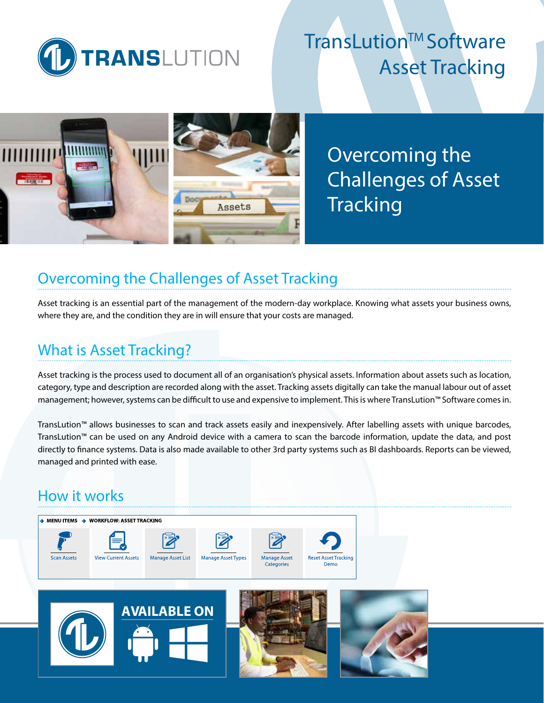

# **TransLution™ Software** Asset Tracking



Overcoming the Challenges of Asset **Tracking** 

## Overcoming the Challenges of Asset Tracking

Asset tracking is an essential part of the management of the modern-day workplace. Knowing what assets your business owns, where they are, and the condition they are in will ensure that your costs are managed.

## What is Asset Tracking?

Asset tracking is the process used to document all of an organisation's physical assets. Information about assets such as location, category, type and description are recorded along with the asset. Tracking assets digitally can take the manual labour out of asset management; however, systems can be difficult to use and expensive to implement. This is where TransLution™ Software comes in.

TransLution™ allows businesses to scan and track assets easily and inexpensively. After labelling assets with unique barcodes, TransLution™ can be used on any Android device with a camera to scan the barcode information, update the data, and post directly to finance systems. Data is also made available to other 3rd party systems such as BI dashboards. Reports can be viewed, managed and printed with ease.

## How it works